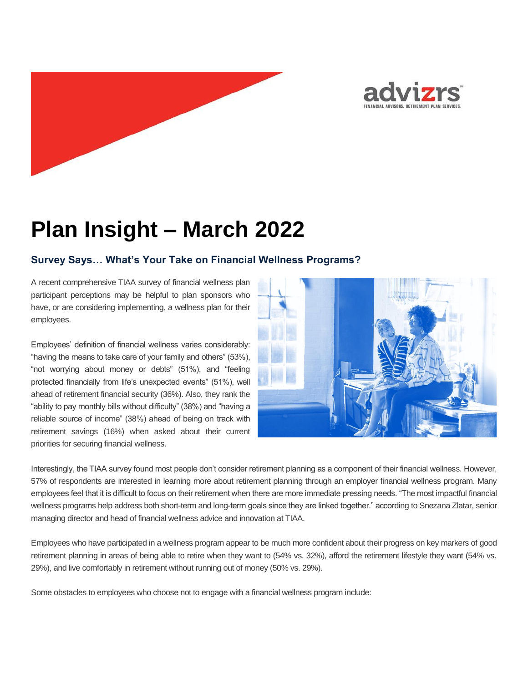

# **Plan Insight – March 2022**

## **Survey Says… What's Your Take on Financial Wellness Programs?**

A recent comprehensive TIAA survey of financial wellness plan participant perceptions may be helpful to plan sponsors who have, or are considering implementing, a wellness plan for their employees.

Employees' definition of financial wellness varies considerably: "having the means to take care of your family and others" (53%), "not worrying about money or debts" (51%), and "feeling protected financially from life's unexpected events" (51%), well ahead of retirement financial security (36%). Also, they rank the "ability to pay monthly bills without difficulty" (38%) and "having a reliable source of income" (38%) ahead of being on track with retirement savings (16%) when asked about their current priorities for securing financial wellness.



Interestingly, the TIAA survey found most people don't consider retirement planning as a component of their financial wellness. However, 57% of respondents are interested in learning more about retirement planning through an employer financial wellness program. Many employees feel that it is difficult to focus on their retirement when there are more immediate pressing needs. "The most impactful financial wellness programs help address both short-term and long-term goals since they are linked together." according to Snezana Zlatar, senior managing director and head of financial wellness advice and innovation at TIAA.

Employees who have participated in a wellness program appear to be much more confident about their progress on key markers of good retirement planning in areas of being able to retire when they want to (54% vs. 32%), afford the retirement lifestyle they want (54% vs. 29%), and live comfortably in retirement without running out of money (50% vs. 29%).

Some obstacles to employees who choose not to engage with a financial wellness program include: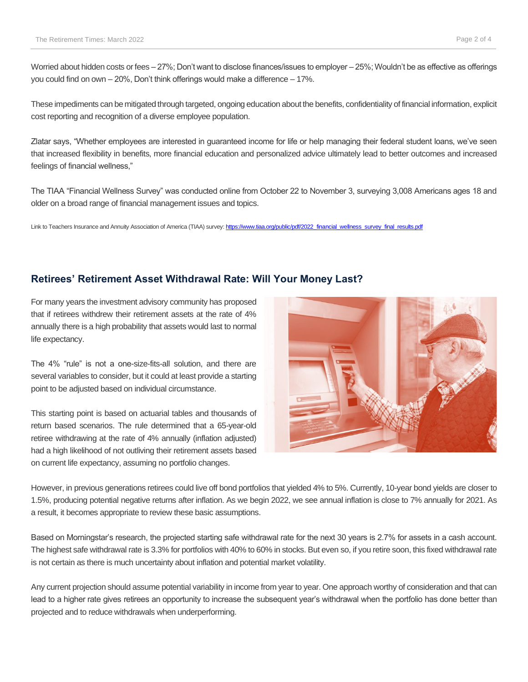Worried about hidden costs or fees – 27%; Don't want to disclose finances/issues to employer – 25%; Wouldn't be as effective as offerings you could find on own – 20%, Don't think offerings would make a difference – 17%.

These impediments can be mitigated through targeted, ongoing education about the benefits, confidentiality of financial information, explicit cost reporting and recognition of a diverse employee population.

Zlatar says, "Whether employees are interested in guaranteed income for life or help managing their federal student loans, we've seen that increased flexibility in benefits, more financial education and personalized advice ultimately lead to better outcomes and increased feelings of financial wellness,"

The TIAA "Financial Wellness Survey" was conducted online from October 22 to November 3, surveying 3,008 Americans ages 18 and older on a broad range of financial management issues and topics.

Link to Teachers Insurance and Annuity Association of America (TIAA) survey[: https://www.tiaa.org/public/pdf/2022\\_financial\\_wellness\\_survey\\_final\\_results.pdf](https://www.tiaa.org/public/pdf/2022_financial_wellness_survey_final_results.pdf)

## **Retirees' Retirement Asset Withdrawal Rate: Will Your Money Last?**

For many years the investment advisory community has proposed that if retirees withdrew their retirement assets at the rate of 4% annually there is a high probability that assets would last to normal life expectancy.

The 4% "rule" is not a one-size-fits-all solution, and there are several variables to consider, but it could at least provide a starting point to be adjusted based on individual circumstance.

This starting point is based on actuarial tables and thousands of return based scenarios. The rule determined that a 65-year-old retiree withdrawing at the rate of 4% annually (inflation adjusted) had a high likelihood of not outliving their retirement assets based on current life expectancy, assuming no portfolio changes.



However, in previous generations retirees could live off bond portfolios that yielded 4% to 5%. Currently, 10-year bond yields are closer to 1.5%, producing potential negative returns after inflation. As we begin 2022, we see annual inflation is close to 7% annually for 2021. As a result, it becomes appropriate to review these basic assumptions.

Based on Morningstar's research, the projected starting safe withdrawal rate for the next 30 years is 2.7% for assets in a cash account. The highest safe withdrawal rate is 3.3% for portfolios with 40% to 60% in stocks. But even so, if you retire soon, this fixed withdrawal rate is not certain as there is much uncertainty about inflation and potential market volatility.

Any current projection should assume potential variability in income from year to year. One approach worthy of consideration and that can lead to a higher rate gives retirees an opportunity to increase the subsequent year's withdrawal when the portfolio has done better than projected and to reduce withdrawals when underperforming.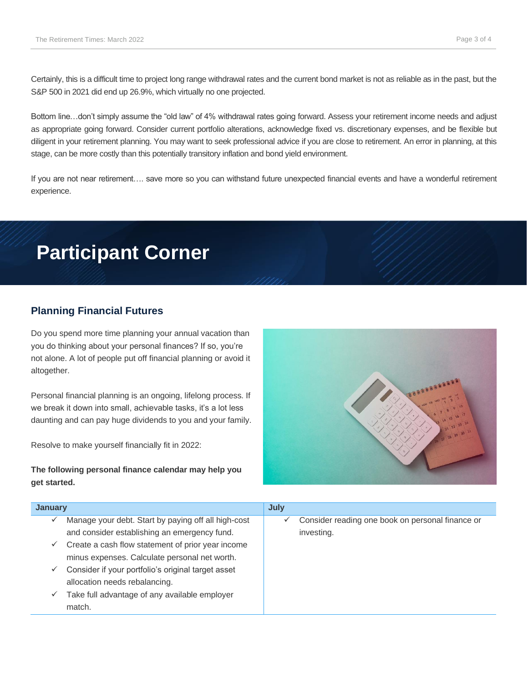Certainly, this is a difficult time to project long range withdrawal rates and the current bond market is not as reliable as in the past, but the S&P 500 in 2021 did end up 26.9%, which virtually no one projected.

Bottom line…don't simply assume the "old law" of 4% withdrawal rates going forward. Assess your retirement income needs and adjust as appropriate going forward. Consider current portfolio alterations, acknowledge fixed vs. discretionary expenses, and be flexible but diligent in your retirement planning. You may want to seek professional advice if you are close to retirement. An error in planning, at this stage, can be more costly than this potentially transitory inflation and bond yield environment.

If you are not near retirement…. save more so you can withstand future unexpected financial events and have a wonderful retirement experience.

# **Participant Corner**

# **Planning Financial Futures**

Do you spend more time planning your annual vacation than you do thinking about your personal finances? If so, you're not alone. A lot of people put off financial planning or avoid it altogether.

Personal financial planning is an ongoing, lifelong process. If we break it down into small, achievable tasks, it's a lot less daunting and can pay huge dividends to you and your family.

Resolve to make yourself financially fit in 2022:

### **The following personal finance calendar may help you get started.**



| <b>January</b> |                                                     | July |                                                  |
|----------------|-----------------------------------------------------|------|--------------------------------------------------|
| ✓              | Manage your debt. Start by paying off all high-cost | ✓    | Consider reading one book on personal finance or |
|                | and consider establishing an emergency fund.        |      | investing.                                       |
| $\checkmark$   | Create a cash flow statement of prior year income   |      |                                                  |
|                | minus expenses. Calculate personal net worth.       |      |                                                  |
| $\checkmark$   | Consider if your portfolio's original target asset  |      |                                                  |
|                | allocation needs rebalancing.                       |      |                                                  |
| $\checkmark$   | Take full advantage of any available employer       |      |                                                  |
|                | match                                               |      |                                                  |